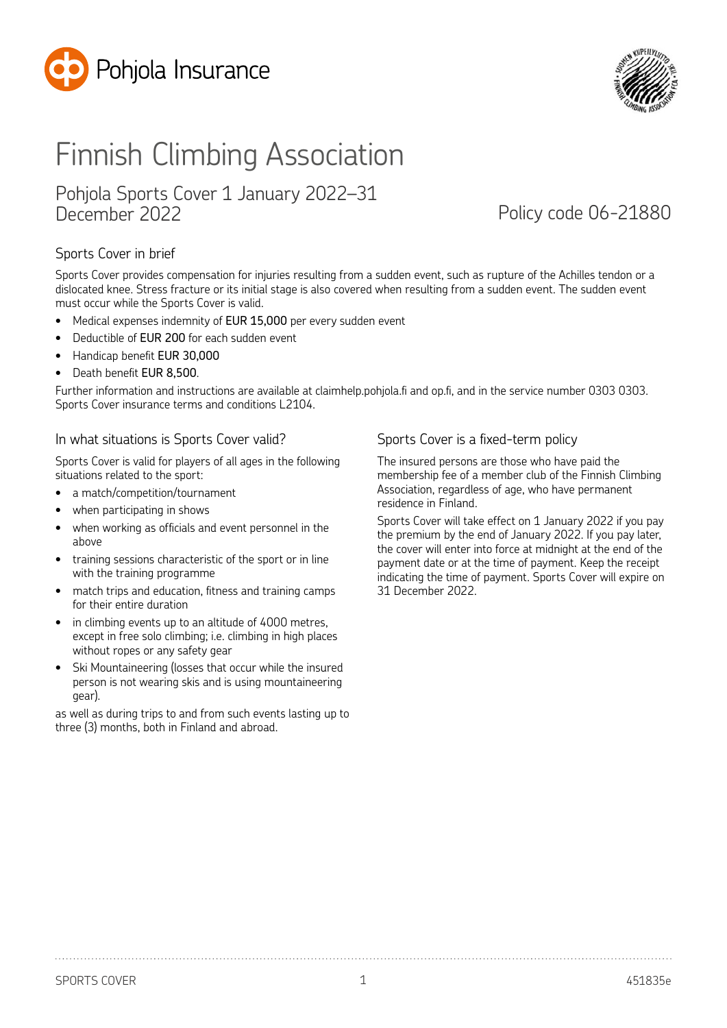



# Finnish Climbing Association

### Pohjola Sports Cover 1 January 2022–31 December 2022 Policy code 06-21880

#### Sports Cover in brief

Sports Cover provides compensation for injuries resulting from a sudden event, such as rupture of the Achilles tendon or a dislocated knee. Stress fracture or its initial stage is also covered when resulting from a sudden event. The sudden event must occur while the Sports Cover is valid.

- Medical expenses indemnity of EUR 15,000 per every sudden event
- Deductible of EUR 200 for each sudden event
- Handicap benefit EUR 30,000
- Death benefit EUR 8,500.

Further information and instructions are available at claimhelp.pohjola.fi and op.fi, and in the service number 0303 0303. Sports Cover insurance terms and conditions L2104.

#### In what situations is Sports Cover valid?

Sports Cover is valid for players of all ages in the following situations related to the sport:

- a match/competition/tournament
- when participating in shows
- when working as officials and event personnel in the above
- training sessions characteristic of the sport or in line with the training programme
- match trips and education, fitness and training camps for their entire duration
- in climbing events up to an altitude of 4000 metres, except in free solo climbing; i.e. climbing in high places without ropes or any safety gear
- Ski Mountaineering (losses that occur while the insured person is not wearing skis and is using mountaineering gear).

as well as during trips to and from such events lasting up to three (3) months, both in Finland and abroad.

#### Sports Cover is a fixed-term policy

The insured persons are those who have paid the membership fee of a member club of the Finnish Climbing Association, regardless of age, who have permanent residence in Finland.

Sports Cover will take effect on 1 January 2022 if you pay the premium by the end of January 2022. If you pay later, the cover will enter into force at midnight at the end of the payment date or at the time of payment. Keep the receipt indicating the time of payment. Sports Cover will expire on 31 December 2022.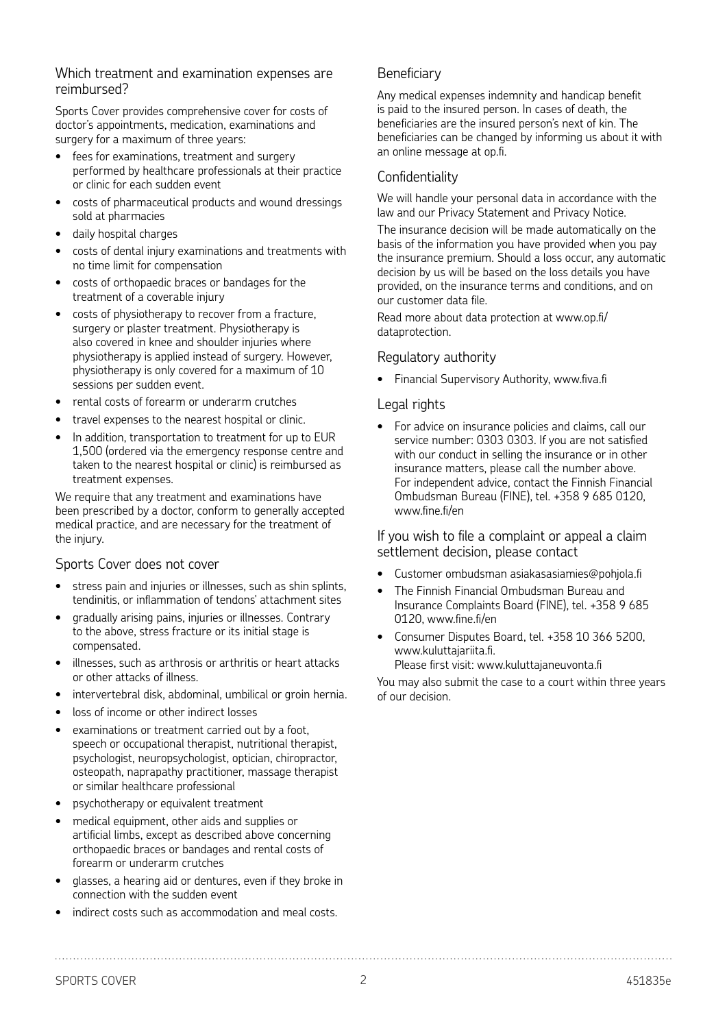#### Which treatment and examination expenses are reimbursed?

Sports Cover provides comprehensive cover for costs of doctor's appointments, medication, examinations and surgery for a maximum of three years:

- fees for examinations, treatment and surgery performed by healthcare professionals at their practice or clinic for each sudden event
- costs of pharmaceutical products and wound dressings sold at pharmacies
- daily hospital charges
- costs of dental injury examinations and treatments with no time limit for compensation
- costs of orthopaedic braces or bandages for the treatment of a coverable injury
- costs of physiotherapy to recover from a fracture, surgery or plaster treatment. Physiotherapy is also covered in knee and shoulder injuries where physiotherapy is applied instead of surgery. However, physiotherapy is only covered for a maximum of 10 sessions per sudden event.
- rental costs of forearm or underarm crutches
- travel expenses to the nearest hospital or clinic.
- In addition, transportation to treatment for up to EUR 1,500 (ordered via the emergency response centre and taken to the nearest hospital or clinic) is reimbursed as treatment expenses.

We require that any treatment and examinations have been prescribed by a doctor, conform to generally accepted medical practice, and are necessary for the treatment of the injury.

#### Sports Cover does not cover

- stress pain and injuries or illnesses, such as shin splints, tendinitis, or inflammation of tendons' attachment sites
- gradually arising pains, injuries or illnesses. Contrary to the above, stress fracture or its initial stage is compensated.
- illnesses, such as arthrosis or arthritis or heart attacks or other attacks of illness.
- intervertebral disk, abdominal, umbilical or groin hernia.
- loss of income or other indirect losses
- examinations or treatment carried out by a foot. speech or occupational therapist, nutritional therapist, psychologist, neuropsychologist, optician, chiropractor, osteopath, naprapathy practitioner, massage therapist or similar healthcare professional
- psychotherapy or equivalent treatment
- medical equipment, other aids and supplies or artificial limbs, except as described above concerning orthopaedic braces or bandages and rental costs of forearm or underarm crutches
- glasses, a hearing aid or dentures, even if they broke in connection with the sudden event
- indirect costs such as accommodation and meal costs.

#### Beneficiary

Any medical expenses indemnity and handicap benefit is paid to the insured person. In cases of death, the beneficiaries are the insured person's next of kin. The beneficiaries can be changed by informing us about it with an online message at op.fi.

#### Confidentiality

We will handle your personal data in accordance with the law and our Privacy Statement and Privacy Notice.

The insurance decision will be made automatically on the basis of the information you have provided when you pay the insurance premium. Should a loss occur, any automatic decision by us will be based on the loss details you have provided, on the insurance terms and conditions, and on our customer data file.

Read more about data protection at www.op.fi/ dataprotection.

#### Regulatory authority

• Financial Supervisory Authority, www.fiva.fi

#### Legal rights

• For advice on insurance policies and claims, call our service number: 0303 0303. If you are not satisfied with our conduct in selling the insurance or in other insurance matters, please call the number above. For independent advice, contact the Finnish Financial Ombudsman Bureau (FINE), tel. +358 9 685 0120, www.fine.fi/en

If you wish to file a complaint or appeal a claim settlement decision, please contact

- Customer ombudsman asiakasasiamies@pohjola.fi
- The Finnish Financial Ombudsman Bureau and Insurance Complaints Board (FINE), tel. +358 9 685 0120, www.fine.fi/en
- Consumer Disputes Board, tel. +358 10 366 5200, www.kuluttajariita.fi.

Please first visit: www.kuluttajaneuvonta.fi

You may also submit the case to a court within three years of our decision.